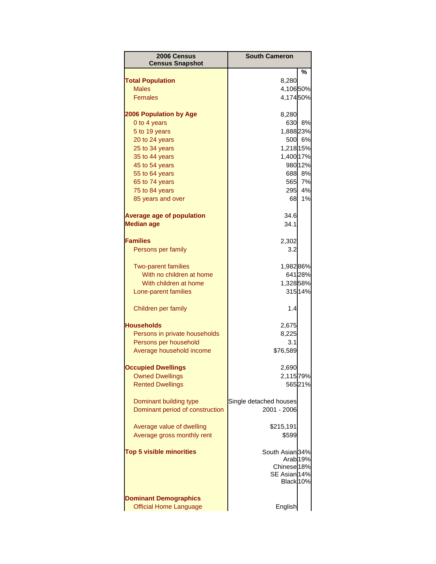| 2006 Census<br><b>Census Snapshot</b> | <b>South Cameron</b>      |                     |
|---------------------------------------|---------------------------|---------------------|
|                                       |                           | ℅                   |
| <b>Total Population</b>               | 8,280                     |                     |
| <b>Males</b><br><b>Females</b>        | 4,10650%                  |                     |
|                                       | 4,17450%                  |                     |
| <b>2006 Population by Age</b>         | 8,280                     |                     |
| 0 to 4 years                          | 630                       | 8%                  |
| 5 to 19 years                         | 1,888 23%                 |                     |
| 20 to 24 years                        |                           | 500 6%              |
| 25 to 34 years                        | 1,218 15%                 |                     |
| 35 to 44 years                        | 1,400 17%                 |                     |
| 45 to 54 years                        |                           | 98012%              |
| 55 to 64 years                        |                           | 688 8%              |
| 65 to 74 years                        | 565                       | 7%                  |
| 75 to 84 years                        | 295                       | 4%                  |
| 85 years and over                     | 68                        | 1%                  |
| <b>Average age of population</b>      | 34.6                      |                     |
| <b>Median age</b>                     | 34.1                      |                     |
|                                       |                           |                     |
| <b>Families</b>                       | 2,302                     |                     |
| Persons per family                    | 3.2                       |                     |
| <b>Two-parent families</b>            | 1,98286%                  |                     |
| With no children at home              |                           | 641 28%             |
| With children at home                 | 1,32858%                  |                     |
| Lone-parent families                  |                           | 315 14%             |
| Children per family                   | 1.4                       |                     |
| <b>Households</b>                     | 2,675                     |                     |
| Persons in private households         | 8,225                     |                     |
| Persons per household                 | 3.1                       |                     |
| Average household income              | \$76,589                  |                     |
| <b>Occupied Dwellings</b>             | 2,690                     |                     |
| <b>Owned Dwellings</b>                | 2,115 79%                 |                     |
| <b>Rented Dwellings</b>               |                           | 56521%              |
|                                       |                           |                     |
| Dominant building type                | Single detached houses    |                     |
| Dominant period of construction       | 2001 - 2006               |                     |
| Average value of dwelling             | \$215,191                 |                     |
| Average gross monthly rent            | \$599                     |                     |
|                                       |                           |                     |
| <b>Top 5 visible minorities</b>       | South Asian 34%           |                     |
|                                       |                           | Arab <sub>19%</sub> |
|                                       | Chinese <sup>18%</sup>    |                     |
|                                       | SE Asian 14%<br>Black 10% |                     |
|                                       |                           |                     |
| <b>Dominant Demographics</b>          |                           |                     |
| <b>Official Home Language</b>         | English                   |                     |